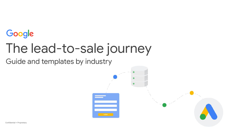

# The lead-to-sale journey

Guide and templates by industry

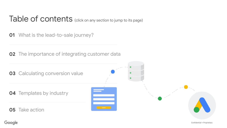#### Table of contents (click on any section to jump to its page)

[What is the lead-to-sale journey?](#page-2-0)

[The importance of integrating customer data](#page-3-0)



Google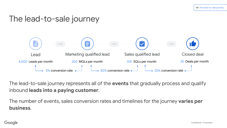#### <span id="page-2-0"></span>The lead-to-sale journey



The lead-to-sale journey represents all of the **events** that gradually process and qualify inbound **leads into a paying customer**.

The number of events, sales conversion rates and timelines for the journey **varies per business**.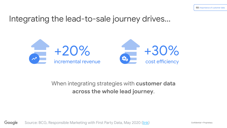#### <span id="page-3-0"></span>Integrating the lead-to-sale journey drives...





#### When integrating strategies with **customer data across the whole lead journey**.

Source: BCG, Responsible Marketing with First Party Data, May 2020 ([link\)](https://www.bcg.com/publications/2020/responsible-marketing-with-first-party-data.aspx) Google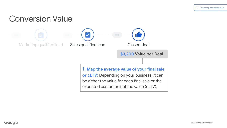<span id="page-4-0"></span>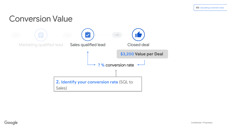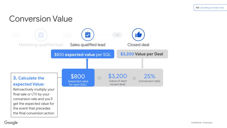

final sale or LTV by your conversion rate and you'll get the expected value for the event that precedes the final conversion action.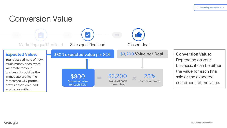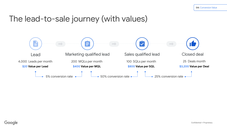#### The lead-to-sale journey (with values)

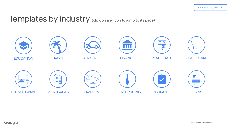#### Templates by industry (click on any icon to jump to its page)

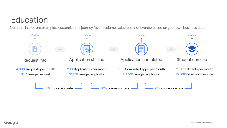## **Education**

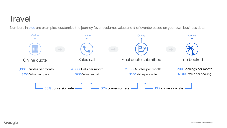## <span id="page-11-0"></span>**Travel**

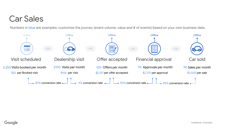## <span id="page-12-0"></span>Car Sales

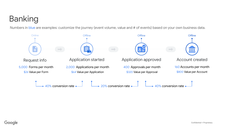## <span id="page-13-0"></span>Banking

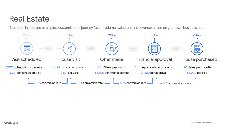#### <span id="page-14-0"></span>Real Estate

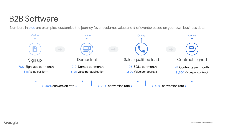## B2B Software

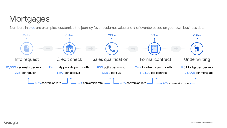## <span id="page-16-0"></span>**Mortgages**

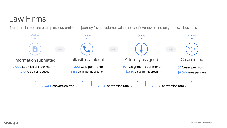## <span id="page-17-0"></span>Law Firms

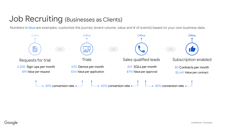#### <span id="page-18-0"></span>Job Recruiting (Businesses as Clients)

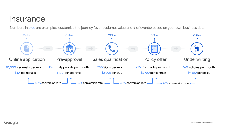#### <span id="page-19-0"></span>**Insurance**

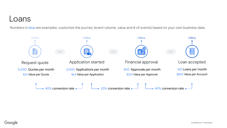#### <span id="page-20-0"></span>Loans

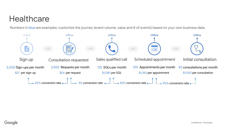## <span id="page-21-0"></span>**Healthcare**